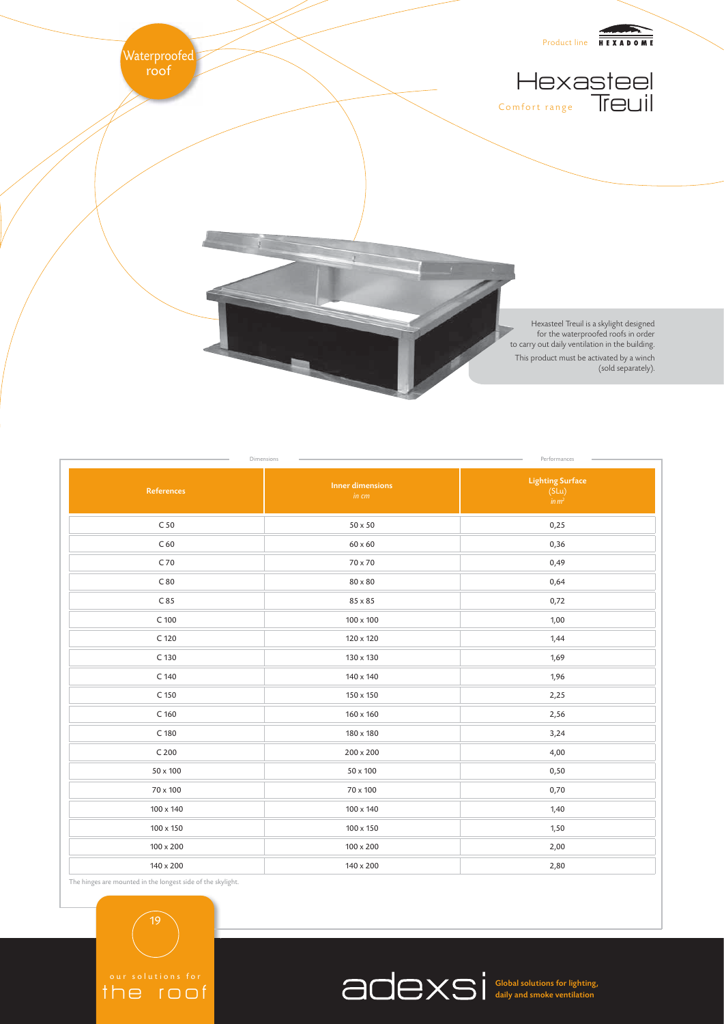

| References       | <b>Inner dimensions</b><br>in cm | <b>Lighting Surface</b><br>(SLu)<br>$\lim_{m \to \infty}$ |
|------------------|----------------------------------|-----------------------------------------------------------|
| C <sub>50</sub>  | $50 \times 50$                   | 0,25                                                      |
| C60              | $60\times60$                     | 0,36                                                      |
| C 70             | 70 x 70                          | 0,49                                                      |
| C80              | $80 \times 80$                   | 0,64                                                      |
| C 85             | 85 x 85                          | 0,72                                                      |
| C 100            | $100 \times 100$                 | 1,00                                                      |
| C 120            | 120 x 120                        | 1,44                                                      |
| C 130            | 130 x 130                        | 1,69                                                      |
| C 140            | 140 x 140                        | 1,96                                                      |
| C 150            | 150 x 150                        | 2,25                                                      |
| C <sub>160</sub> | 160 x 160                        | 2,56                                                      |
| C 180            | 180 x 180                        | 3,24                                                      |
| C <sub>200</sub> | 200 x 200                        | 4,00                                                      |
| 50 x 100         | $50\times100$                    | 0,50                                                      |
| 70 x 100         | $70 \times 100$                  | 0,70                                                      |
| 100 x 140        | 100 x 140                        | 1,40                                                      |
| $100\times150$   | 100 x 150                        | 1,50                                                      |
| 100 x 200        | $100\times200$                   | 2,00                                                      |
| 140 x 200        | 140 x 200                        | 2,80                                                      |

The hinges are mounted in the longest side of the skylight.

19

the roof

Global solutions for lighting, daily and smoke ventilation